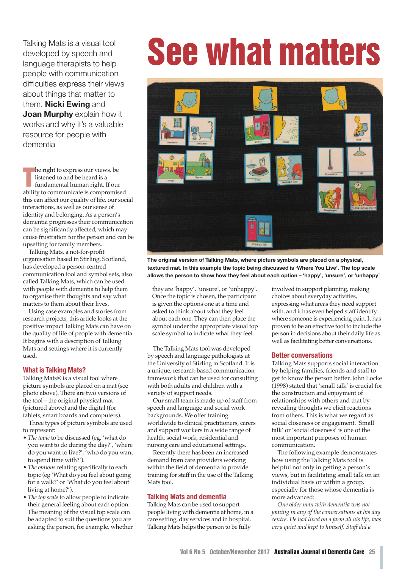developed by speech and language therapists to help people with communication difficulties express their views about things that matter to them. **Nicki Ewing** and **Joan Murphy** explain how it works and why it's a valuable resource for people with dementia

**The right to express our views, be**<br> **The listened to and be heard is a**<br> **The fundamental human right. If our ability to communicate is compromised** he right to express our views, be listened to and be heard is a fundamental human right. If our this can affect our quality of life, our social interactions, as well as our sense of identity and belonging. As a person's dementia progresses their communication can be significantly affected, which may cause frustration for the person and can be upsetting for family members.

Talking Mats, a not-for-profit organisation based in Stirling, Scotland, has developed a person-centred communication tool and symbol sets, also called Talking Mats, which can be used with people with dementia to help them to organise their thoughts and say what matters to them about their lives.

Using case examples and stories from research projects, this article looks at the positive impact Talking Mats can have on the quality of life of people with dementia. It begins with a description of Talking Mats and settings where it is currently used.

# **What is Talking Mats?**

Talking Mats® is a visual tool where picture symbols are placed on a mat (see photo above). There are two versions of the tool – the original physical mat (pictured above) and the digital (for tablets, smart boards and computers).

Three types of picture symbols are used to represent:

- *The topic* to be discussed (eg, 'what do you want to do during the day?', 'where do you want to live?', 'who do you want to spend time with?').
- *The options* relating specifically to each topic (eg 'What do you feel about going for a walk?' or 'What do you feel about living at home?').
- *The top scale* to allow people to indicate their general feeling about each option. The meaning of the visual top scale can be adapted to suit the questions you are asking the person, for example, whether

# Talking Mats is a visual tool<br>developed by speech and<br>language therapists to help



**The original version of Talking Mats, where picture symbols are placed on a physical, textured mat. In this example the topic being discussed is 'Where You Live'. The top scale allows the person to show how they feel about each option – 'happy', 'unsure', or 'unhappy'**

they are 'happy', 'unsure', or 'unhappy'. Once the topic is chosen, the participant is given the options one at a time and asked to think about what they feel about each one. They can then place the symbol under the appropriate visual top scale symbol to indicate what they feel.

The Talking Mats tool was developed by speech and language pathologists at the University of Stirling in Scotland. It is a unique, research-based communication framework that can be used for consulting with both adults and children with a variety of support needs.

Our small team is made up of staff from speech and language and social work backgrounds. We offer training worldwide to clinical practitioners, carers and support workers in a wide range of health, social work, residential and nursing care and educational settings.

Recently there has been an increased demand from care providers working within the field of dementia to provide training for staff in the use of the Talking Mats tool.

# **Talking Mats and dementia**

Talking Mats can be used to support people living with dementia at home, in a care setting, day services and in hospital. Talking Mats helps the person to be fully

involved in support planning, making choices about everyday activities, expressing what areas they need support with, and it has even helped staff identify where someone is experiencing pain. It has proven to be an effective tool to include the person in decisions about their daily life as well as facilitating better conversations.

# **Better conversations**

Talking Mats supports social interaction by helping families, friends and staff to get to know the person better. John Locke (1998) stated that 'small talk' is crucial for the construction and enjoyment of relationships with others and that by revealing thoughts we elicit reactions from others. This is what we regard as social closeness or engagement. 'Small talk' or 'social closeness' is one of the most important purposes of human communication.

The following example demonstrates how using the Talking Mats tool is helpful not only in getting a person's views, but in facilitating small talk on an individual basis or within a group, especially for those whose dementia is more advanced:

*One older man with dementia was not joining in any of the conversations at his day centre. He had lived on a farm all his life, was very quiet and kept to himself. Staff did a*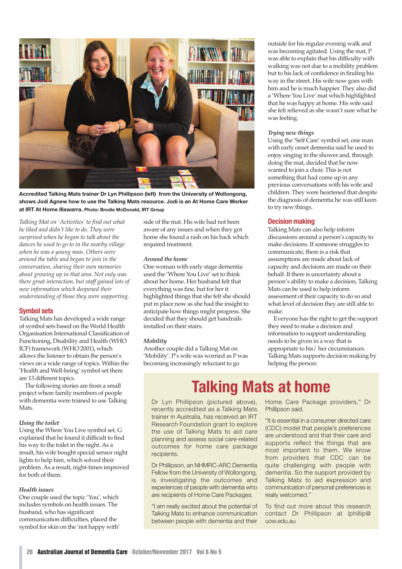

**Accredited Talking Mats trainer Dr Lyn Phillipson (left) from the University of Wollongong, shows Jodi Agnew how to use the Talking Mats resource. Jodi is an At Home Care Worker at IRT At Home Illawarra. Photo: Brodie McDonald, IRT Group**

*Talking Mat on 'Activities' to find out what he liked and didn't like to do. They were surprised when he began to talk about the dances he used to go to in the nearby village when he was a young man. Others were around the table and began to join in the conversation, sharing their own memories about growing up in that area. Not only was there great interaction, but staff gained lots of new information which deepened their understanding of those they were supporting.*

# **Symbol sets**

Talking Mats has developed a wide range of symbol sets based on the World Health Organisation International Classification of Functioning, Disability and Health (WHO ICF) framework (WHO 2001), which allows the listener to obtain the person's views on a wide range of topics. Within the 'Health and Well-being' symbol set there are 13 different topics.

The following stories are from a small project where family members of people with dementia were trained to use Talking Mats.

## *Using the toilet*

Using the Where You Live symbol set, G explained that he found it difficult to find his way to the toilet in the night.As a result, his wife bought special sensor night lights to help him, which solved their problem.As a result, night-times improved for both of them.

# *Health issues*

One couple used the topic 'You', which includes symbols on health issues. The husband, who has significant communication difficulties, placed the symbol for skin on the 'not happy with' side of the mat. His wife had not been aware of any issues and when they got home she found a rash on his back which required treatment.

#### *Around the home*

One woman with early stage dementia used the 'Where You Live' set to think about her home. Her husband felt that everything was fine, but for herit highlighted things that she felt she should put in place now as she had the insight to anticipate how things might progress. She decided that they should get handrails installed on their stairs.

#### *Mobility*

Another couple did a Talking Mat on 'Mobility'. P's wife was worried as P was becoming increasingly reluctant to go

outside for his regular evening walk and was becoming agitated. Using the mat, P was able to explain that his difficulty with walking was not due to a mobility problem but to his lack of confidence in finding his way in the street. His wife now goes with him and he is much happier. They also did a 'Where You Live' mat which highlighted that he was happy at home. His wife said she felt relieved as she wasn't sure what he was feeling.

### *Trying new things*

Using the 'Self Care' symbol set, one man with early onset dementia said he used to enjoy singing in the shower and, through doing the mat, decided that he now wanted to join a choir. This is not something that had come up in any previous conversations with his wife and children. They were heartened that despite the diagnosis of dementia he was still keen to try new things.

# **Decision making**

Talking Mats can also help inform discussions around a person's capacity to make decisions. If someone struggles to communicate, there is a risk that assumptions are made about lack of capacity and decisions are made on their behalf. If there is uncertainty about a person's ability to make a decision, Talking Mats can be used to help inform assessment of their capacity to do so and what level of decision they are still able to make.

Everyone has the right to get the support they need to make a decision and information to support understanding needs to be given in a way that is appropriate to his/ her circumstances. Talking Mats supports decision making by helping the person:

# **Talking Mats at home**

Dr Lyn Phillipson (pictured above), recently accredited as a Talking Mats trainer in Australia, has received an IRT Research Foundation grant to explore the use of Talking Mats to aid care planning and assess social care-related outcomes for home care package recipients.

Dr Phillipson, an NHMRC-ARC Dementia Fellow from the University of Wollongong, is investigating the outcomes and experiences of people with dementia who are recipients of Home Care Packages.

"I am really excited about the potential of Talking Mats to enhance communication between people with dementia and their Home Care Package providers," Dr Phillipson said.

"It is essential in a consumer directed care (CDC) model that people's preferences are understood and that their care and supports reflect the things that are most important to them. We know from providers that CDC can be quite challenging with people with dementia. So the support provided by Talking Mats to aid expression and communication of personal preferences is really welcomed."

To find out more about this research contact Dr Phillipson at lphillip@ uow.edu.au